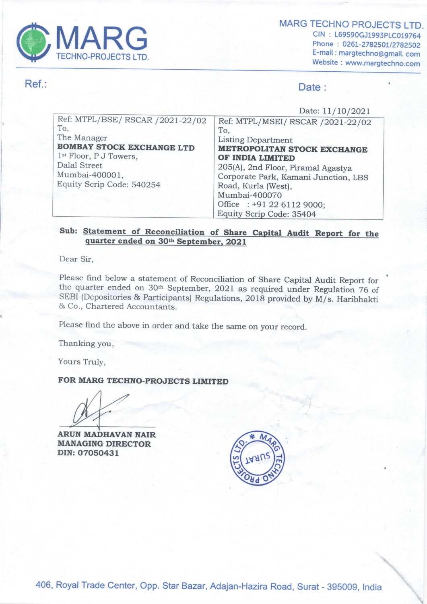

MARG TECHNO PROJECTS LTD. CIN : L69590GJ1993PLC019764 Phone : 0261-2782501/2782502 E-mail : margtechno@gmail. com Website : www.margtechno.com

### Ref.: Date :

#### Date: 11/10/2021

|                                         | <b>MARG TECHNO PROJE</b>                                    |  |  |  |  |
|-----------------------------------------|-------------------------------------------------------------|--|--|--|--|
| <b>MARG</b>                             | CIN: L69590GJ199                                            |  |  |  |  |
| <b>TECHNO-PROJECTS LTD.</b>             | Phone: 0261-27825<br>E-mail: margtechno                     |  |  |  |  |
|                                         | Website: www.marg                                           |  |  |  |  |
|                                         | Date:                                                       |  |  |  |  |
|                                         | Date: 11/10/2021                                            |  |  |  |  |
| Ref: MTPL/BSE/ RSCAR /2021-22/02<br>To, | Ref: MTPL/MSEI/ RSCAR /2021-22/02                           |  |  |  |  |
| The Manager                             | To,<br><b>Listing Department</b>                            |  |  |  |  |
| <b>BOMBAY STOCK EXCHANGE LTD</b>        | <b>METROPOLITAN STOCK EXCHANGE</b>                          |  |  |  |  |
| 1 <sup>st</sup> Floor, P J Towers,      | OF INDIA LIMITED                                            |  |  |  |  |
| <b>Dalal Street</b><br>Mumbai-400001,   | 205(A), 2nd Floor, Piramal Agastya                          |  |  |  |  |
| Equity Scrip Code: 540254               | Corporate Park, Kamani Junction, LBS<br>Road, Kurla (West), |  |  |  |  |
|                                         | Mumbai-400070                                               |  |  |  |  |
|                                         | Office : +91 22 6112 9000;                                  |  |  |  |  |
|                                         | Equity Scrip Code: 35404                                    |  |  |  |  |

# Sub: Statement of Reconciliation of Share Capital Audit Report for the quarter ended on 30<sup>th</sup> September, 2021

Dear Sir,

Please find below a statement of Reconciliation of Share Capital Audit Report for<br>the quarter ended on  $30th$  September, 2021 as required under Regulation 76 of<br>SEBI (Depositories & Participants) Regulations, 2018 provided

Please find the above in order and take the same on your record.

Thanking you,

Yours Truly,

### FOR MARG TECHNO-PROJECTS LIMITED

Thanking yo

ARUN MADHAVAN NAIR MANAGING DIRECTOR DIN: 07050431

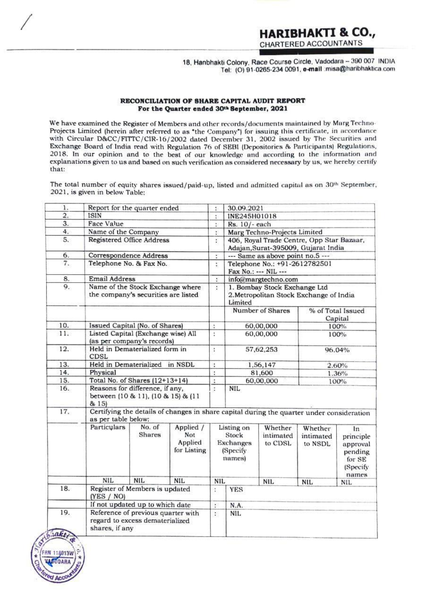### 18, Hanbhakti Colony, Race Course Circle, Vadodara ~ 390 007 INDIA Tel: (0) 91-0265-234 0091, e-mail misa@haribhaktica com

### RECONCILIATION OF SHARE CAPITAL AUDIT REPORT For the Quarter ended 30<sup>th</sup> September, 2021

We have examined the Register of Members and other records/documents maintained by Marg Techno-<br>Projects Limited (herein after referred to as "the Company") for issuing this certificate, in accordance<br>with Circular D&CC/FI We have examined the Register of Members and other records/documents maintained by Marg Techno-<br>Projects Limited (herein after referred to as "the Company") for issuing this certificate, in accordance<br>with Circular D&CC/FI y<br>ic explanations given to us and based on such verification as considered necessary by us, we hereby certify **RECONCILIA**<br>
For the<br>
We have examined the Register of M<br>
Projects Limited (herein after referr<br>
with Circular D&CC/FITTC/CIR-14<br>
Exchange Board of India read with<br>
2018. In our opinion and to the<br>
explanations given to u **RECONCILIATION**<br> **For the Quare We have examined the Register of Member<br>
Projects Limited (herein after referred to<br>
with Circular D&CC/FITTC/CIR-16/200<br>
Exchange Board of India read with Regu<br>
2018. In our opinion and to** 18.<br> **EECONCILIATION OF**<br> **EECONCILIATION OF**<br> **EECONCILIATION OF**<br> **EECONCILIATION OF**<br> **EECONCILIATION OF**<br> **EECONCILIATION OF**<br> **EECONCILIATION OF**<br> **EECONCILIATION OF**<br> **EECONCILIATION OF**<br> **EXPLARABLE DEAT OF A SUBDI** 18<br> **RECONCILIATION O**<br> **RECONCILIATION O**<br> **Positive** the **Puarter**<br> **Projects** Limited (herein after referred to as<br>
with Circular D&CC/FITTC/CIR-16/2002<br>
Exchange Board of India read with Regula<br>
2018. In our opinion an **18. Handred We have examined the Register of Members and the Point of the Control of the Control of the Section of the Unit Chemical Control of David Control of David Control Control Control Control Control Control Contr** 18. Hanb<br> **EBCONCILIATION OF SHANCE THE CONSECT CONSECT ASSESS**<br> **EXECUTE CONSECT ASSESS**<br> **EXECUTE CONSECT ASSESS**<br> **EXECUTE ASSESS**<br> **EXECUTE ASSESS**<br> **EXECUTE ASSESS**<br> **EXECUTE ASSESS**<br> **EXECUTE ASSESS**<br> **EXECUTE ASSESS** 

|                   | We have examined the Register of Members and other records/documents maintained by Marg Techno-<br>Projects Limited (herein after referred to as "the Company") for issuing this certificate, in accordance<br>with Circular D&CC/FITTC/CIR-16/2002 dated December 31, 2002 issued by The Securities and |                                                                         | RECONCILIATION OF SHARE CAPITAL AUDIT REPORT<br>For the Quarter ended 30th September, 2021         |                                |                                                                                    | 18, Hanbhakti Colony, Race Course Circle, Vadodara - 390 007  <br>Tel: (O) 91-0265-234 0091, e-mail misa@haribhaktica | <b>HARIBHAKTI &amp; CO.,</b><br>CHARTERED ACCOUNTANTS |                                                                 |  |
|-------------------|----------------------------------------------------------------------------------------------------------------------------------------------------------------------------------------------------------------------------------------------------------------------------------------------------------|-------------------------------------------------------------------------|----------------------------------------------------------------------------------------------------|--------------------------------|------------------------------------------------------------------------------------|-----------------------------------------------------------------------------------------------------------------------|-------------------------------------------------------|-----------------------------------------------------------------|--|
|                   |                                                                                                                                                                                                                                                                                                          |                                                                         |                                                                                                    |                                |                                                                                    |                                                                                                                       |                                                       |                                                                 |  |
|                   |                                                                                                                                                                                                                                                                                                          |                                                                         |                                                                                                    |                                |                                                                                    |                                                                                                                       |                                                       |                                                                 |  |
|                   |                                                                                                                                                                                                                                                                                                          |                                                                         |                                                                                                    |                                |                                                                                    |                                                                                                                       |                                                       |                                                                 |  |
|                   |                                                                                                                                                                                                                                                                                                          |                                                                         |                                                                                                    |                                |                                                                                    |                                                                                                                       |                                                       |                                                                 |  |
|                   |                                                                                                                                                                                                                                                                                                          |                                                                         |                                                                                                    |                                |                                                                                    |                                                                                                                       |                                                       |                                                                 |  |
|                   |                                                                                                                                                                                                                                                                                                          |                                                                         |                                                                                                    |                                |                                                                                    |                                                                                                                       |                                                       |                                                                 |  |
|                   |                                                                                                                                                                                                                                                                                                          |                                                                         |                                                                                                    |                                |                                                                                    |                                                                                                                       |                                                       |                                                                 |  |
| that:             | 2018. In our opinion and to the best of our knowledge and according to the information and<br>explanations given to us and based on such verification as considered necessary by us, we hereby certify                                                                                                   |                                                                         | Exchange Board of India read with Regulation 76 of SEBI (Depositories & Participants) Regulations, |                                |                                                                                    |                                                                                                                       |                                                       |                                                                 |  |
| 1.                | The total number of equity shares issued/paid-up, listed and admitted capital as on 30 <sup>th</sup> September,<br>2021, is given in below Table:<br>Report for the quarter ended                                                                                                                        |                                                                         |                                                                                                    | t.                             | 30.09.2021                                                                         |                                                                                                                       |                                                       |                                                                 |  |
| $\mathbf{2}$ .    | ISIN                                                                                                                                                                                                                                                                                                     |                                                                         |                                                                                                    | ŧ                              | INE245H01018                                                                       |                                                                                                                       |                                                       |                                                                 |  |
| 3.                | Face Value                                                                                                                                                                                                                                                                                               |                                                                         |                                                                                                    | t                              | Rs. 10/-each                                                                       | Marg Techno-Projects Limited                                                                                          |                                                       |                                                                 |  |
| 4.<br>5.          | Name of the Company<br>Registered Office Address                                                                                                                                                                                                                                                         |                                                                         |                                                                                                    | ř.<br>ř.                       | 406, Royal Trade Centre, Opp Star Bazaar,<br>Adajan, Surat-395009, Gujarat India   |                                                                                                                       |                                                       |                                                                 |  |
| 6.                | Correspondence Address                                                                                                                                                                                                                                                                                   |                                                                         |                                                                                                    |                                | --- Same as above point no.5 ---                                                   |                                                                                                                       |                                                       |                                                                 |  |
| 7.                | Telephone No. & Fax No.                                                                                                                                                                                                                                                                                  |                                                                         |                                                                                                    | ŧ                              | Telephone No.: +91-2612782501<br>Fax No.: --- NIL ---                              |                                                                                                                       |                                                       |                                                                 |  |
| 8.                | <b>Email Address</b>                                                                                                                                                                                                                                                                                     |                                                                         |                                                                                                    | ÷                              | info@margtechno.com                                                                |                                                                                                                       |                                                       |                                                                 |  |
| 9.                |                                                                                                                                                                                                                                                                                                          | Name of the Stock Exchange where<br>the company's securities are listed |                                                                                                    | ÷                              | 1. Bombay Stock Exchange Ltd<br>2. Metropolitan Stock Exchange of India<br>Limited |                                                                                                                       |                                                       |                                                                 |  |
|                   |                                                                                                                                                                                                                                                                                                          |                                                                         |                                                                                                    |                                |                                                                                    | Number of Shares                                                                                                      | % of Total Issued                                     |                                                                 |  |
| 10.               | Issued Capital (No. of Shares)                                                                                                                                                                                                                                                                           |                                                                         |                                                                                                    | ÷                              | 60,00,000                                                                          |                                                                                                                       | Capital<br>100%                                       |                                                                 |  |
| 11.               | Listed Capital (Exchange wise) All                                                                                                                                                                                                                                                                       |                                                                         |                                                                                                    | t                              | 60,00,000                                                                          |                                                                                                                       | 100%                                                  |                                                                 |  |
| 12.               | (as per company's records)<br>Held in Dematerialized form in<br><b>CDSL</b>                                                                                                                                                                                                                              |                                                                         |                                                                                                    | ÷                              | 57,62,253                                                                          |                                                                                                                       | 96.04%                                                |                                                                 |  |
|                   | Held in Dematerialized in NSDL                                                                                                                                                                                                                                                                           |                                                                         |                                                                                                    | ÷                              | 1,56,147                                                                           |                                                                                                                       | 2.60%                                                 |                                                                 |  |
|                   | Physical                                                                                                                                                                                                                                                                                                 |                                                                         |                                                                                                    | ÷                              | 81,600                                                                             |                                                                                                                       | 1.36%                                                 |                                                                 |  |
| 14.               |                                                                                                                                                                                                                                                                                                          |                                                                         |                                                                                                    | $\vdots$<br>$\overline{\cdot}$ | <b>NIL</b>                                                                         | 60,00,000                                                                                                             |                                                       | 100%                                                            |  |
| 13.<br>15.<br>16. | Total No. of Shares (12+13+14)<br>Reasons for difference, if any,<br>between (10 & 11), (10 & 15) & (11                                                                                                                                                                                                  |                                                                         |                                                                                                    |                                |                                                                                    |                                                                                                                       |                                                       |                                                                 |  |
| 17.               | & 15)<br>as per table below:                                                                                                                                                                                                                                                                             |                                                                         | Certifying the details of changes in share capital during the quarter under consideration          |                                |                                                                                    |                                                                                                                       |                                                       |                                                                 |  |
|                   | Particulars                                                                                                                                                                                                                                                                                              | No. of<br><b>Shares</b>                                                 | Applied /<br>Not<br>Applied<br>for Listing                                                         |                                | Listing on<br>Stock<br><b>Exchanges</b><br>(Specify)<br>names)                     | Whether<br>intimated<br>to CDSL                                                                                       | Whether<br>intimated<br>to NSDL                       | In.                                                             |  |
|                   | <b>NIL</b>                                                                                                                                                                                                                                                                                               | <b>NIL</b>                                                              | <b>NIL</b>                                                                                         | <b>NIL</b>                     |                                                                                    | NIL                                                                                                                   | <b>NIL</b>                                            | NIL.                                                            |  |
| 18.               | Register of Members is updated                                                                                                                                                                                                                                                                           |                                                                         |                                                                                                    | ÷                              | <b>YES</b>                                                                         |                                                                                                                       |                                                       |                                                                 |  |
|                   | (YES / NO)                                                                                                                                                                                                                                                                                               |                                                                         |                                                                                                    |                                |                                                                                    |                                                                                                                       |                                                       | principle<br>approval<br>pending<br>for SE<br>(Specify<br>names |  |
| 19.               | If not updated up to which date<br>Reference of previous quarter with<br>regard to excess dematerialized                                                                                                                                                                                                 |                                                                         |                                                                                                    | ÷<br>$\ddot{\cdot}$            | N.A.<br>NIL.                                                                       |                                                                                                                       |                                                       |                                                                 |  |

 $\frac{1}{\sqrt{1-\frac{1}{2}}}\left( \frac{1}{2}\right) ^{2}$